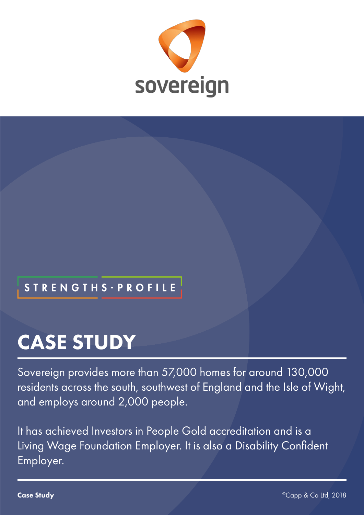

## **STRENGTHS - PROFILE**

# CASE STUDY

Sovereign provides more than 57,000 homes for around 130,000 residents across the south, southwest of England and the Isle of Wight, and employs around 2,000 people.

It has achieved Investors in People Gold accreditation and is a Living Wage Foundation Employer. It is also a Disability Confident Employer.